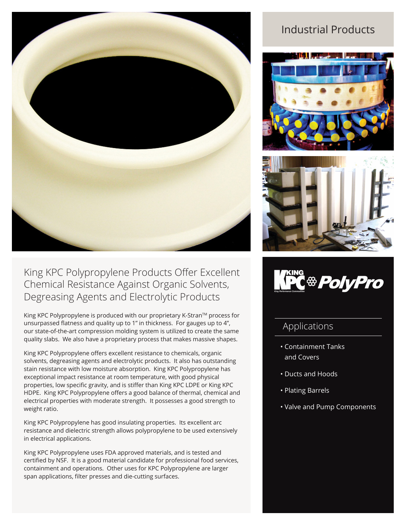

## King KPC Polypropylene Products Offer Excellent Chemical Resistance Against Organic Solvents, Degreasing Agents and Electrolytic Products

King KPC Polypropylene is produced with our proprietary K-Stran™ process for unsurpassed flatness and quality up to 1" in thickness. For gauges up to 4", our state-of-the-art compression molding system is utilized to create the same quality slabs. We also have a proprietary process that makes massive shapes.

King KPC Polypropylene offers excellent resistance to chemicals, organic solvents, degreasing agents and electrolytic products. It also has outstanding stain resistance with low moisture absorption. King KPC Polypropylene has exceptional impact resistance at room temperature, with good physical properties, low specific gravity, and is stiffer than King KPC LDPE or King KPC HDPE. King KPC Polypropylene offers a good balance of thermal, chemical and electrical properties with moderate strength. It possesses a good strength to weight ratio.

King KPC Polypropylene has good insulating properties. Its excellent arc resistance and dielectric strength allows polypropylene to be used extensively in electrical applications.

King KPC Polypropylene uses FDA approved materials, and is tested and certified by NSF. It is a good material candidate for professional food services, containment and operations. Other uses for KPC Polypropylene are larger span applications, filter presses and die-cutting surfaces.

# Industrial Products







### Applications

- Containment Tanks and Covers
- Ducts and Hoods
- Plating Barrels
- Valve and Pump Components